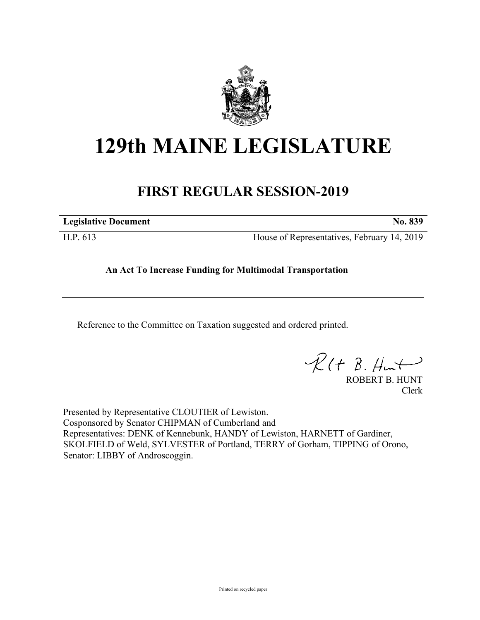

## **129th MAINE LEGISLATURE**

## **FIRST REGULAR SESSION-2019**

**Legislative Document No. 839**

H.P. 613 House of Representatives, February 14, 2019

## **An Act To Increase Funding for Multimodal Transportation**

Reference to the Committee on Taxation suggested and ordered printed.

 $\mathcal{R}(t \; \mathcal{B}, \#m\rightarrow)$ 

ROBERT B. HUNT Clerk

Presented by Representative CLOUTIER of Lewiston. Cosponsored by Senator CHIPMAN of Cumberland and Representatives: DENK of Kennebunk, HANDY of Lewiston, HARNETT of Gardiner, SKOLFIELD of Weld, SYLVESTER of Portland, TERRY of Gorham, TIPPING of Orono, Senator: LIBBY of Androscoggin.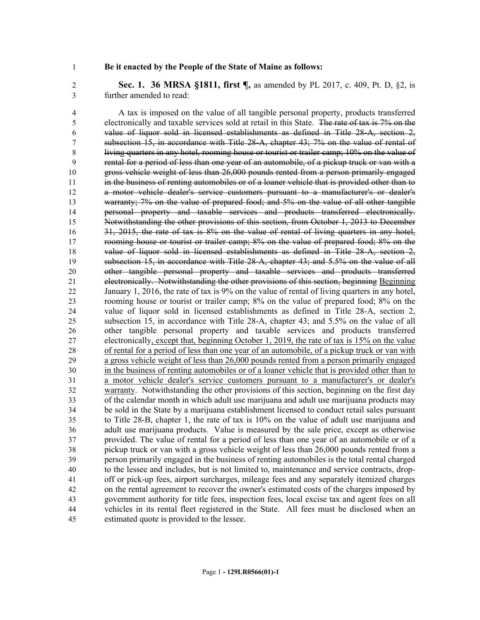## **Be it enacted by the People of the State of Maine as follows:**

 **Sec. 1. 36 MRSA §1811, first ¶,** as amended by PL 2017, c. 409, Pt. D, §2, is further amended to read:

 A tax is imposed on the value of all tangible personal property, products transferred electronically and taxable services sold at retail in this State. The rate of tax is 7% on the value of liquor sold in licensed establishments as defined in Title 28-A, section 2, subsection 15, in accordance with Title 28-A, chapter 43; 7% on the value of rental of living quarters in any hotel, rooming house or tourist or trailer camp; 10% on the value of rental for a period of less than one year of an automobile, of a pickup truck or van with a gross vehicle weight of less than 26,000 pounds rented from a person primarily engaged in the business of renting automobiles or of a loaner vehicle that is provided other than to a motor vehicle dealer's service customers pursuant to a manufacturer's or dealer's warranty; 7% on the value of prepared food; and 5% on the value of all other tangible personal property and taxable services and products transferred electronically. Notwithstanding the other provisions of this section, from October 1, 2013 to December 16 31, 2015, the rate of tax is 8% on the value of rental of living quarters in any hotel, 17 rooming house or tourist or trailer camp; 8% on the value of prepared food; 8% on the value of liquor sold in licensed establishments as defined in Title 28-A, section 2, subsection 15, in accordance with Title 28-A, chapter 43; and 5.5% on the value of all other tangible personal property and taxable services and products transferred electronically. Notwithstanding the other provisions of this section, beginning Beginning January 1, 2016, the rate of tax is 9% on the value of rental of living quarters in any hotel, rooming house or tourist or trailer camp; 8% on the value of prepared food; 8% on the value of liquor sold in licensed establishments as defined in Title 28-A, section 2, subsection 15, in accordance with Title 28-A, chapter 43; and 5.5% on the value of all other tangible personal property and taxable services and products transferred electronically, except that, beginning October 1, 2019, the rate of tax is 15% on the value of rental for a period of less than one year of an automobile, of a pickup truck or van with a gross vehicle weight of less than 26,000 pounds rented from a person primarily engaged in the business of renting automobiles or of a loaner vehicle that is provided other than to a motor vehicle dealer's service customers pursuant to a manufacturer's or dealer's warranty. Notwithstanding the other provisions of this section, beginning on the first day of the calendar month in which adult use marijuana and adult use marijuana products may be sold in the State by a marijuana establishment licensed to conduct retail sales pursuant to Title 28-B, chapter 1, the rate of tax is 10% on the value of adult use marijuana and adult use marijuana products. Value is measured by the sale price, except as otherwise provided. The value of rental for a period of less than one year of an automobile or of a pickup truck or van with a gross vehicle weight of less than 26,000 pounds rented from a person primarily engaged in the business of renting automobiles is the total rental charged to the lessee and includes, but is not limited to, maintenance and service contracts, drop- off or pick-up fees, airport surcharges, mileage fees and any separately itemized charges on the rental agreement to recover the owner's estimated costs of the charges imposed by government authority for title fees, inspection fees, local excise tax and agent fees on all vehicles in its rental fleet registered in the State. All fees must be disclosed when an estimated quote is provided to the lessee.